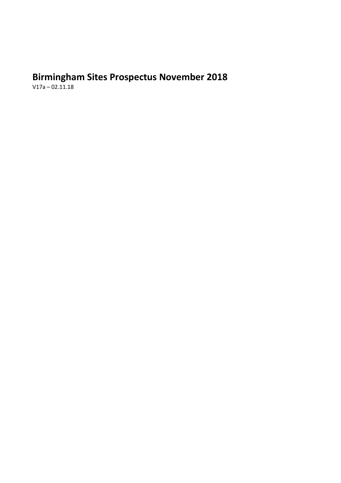# **Birmingham Sites Prospectus November 2018**

V17a – 02.11.18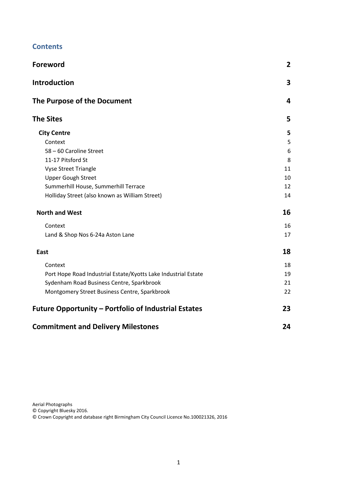| <b>Foreword</b>                                                | $\overline{2}$ |
|----------------------------------------------------------------|----------------|
| <b>Introduction</b>                                            | $\mathbf{3}$   |
| The Purpose of the Document                                    | 4              |
| <b>The Sites</b>                                               | 5              |
| <b>City Centre</b>                                             | 5              |
| Context                                                        | 5              |
| 58 - 60 Caroline Street                                        | 6              |
| 11-17 Pitsford St                                              | 8              |
| <b>Vyse Street Triangle</b>                                    | 11             |
| <b>Upper Gough Street</b>                                      | 10             |
| Summerhill House, Summerhill Terrace                           | 12             |
| Holliday Street (also known as William Street)                 | 14             |
| <b>North and West</b>                                          | 16             |
| Context                                                        | 16             |
| Land & Shop Nos 6-24a Aston Lane                               | 17             |
| East                                                           | 18             |
| Context                                                        | 18             |
| Port Hope Road Industrial Estate/Kyotts Lake Industrial Estate | 19             |
| Sydenham Road Business Centre, Sparkbrook                      | 21             |
| Montgomery Street Business Centre, Sparkbrook                  | 22             |
| <b>Future Opportunity - Portfolio of Industrial Estates</b>    | 23             |
| <b>Commitment and Delivery Milestones</b>                      | 24             |

Aerial Photographs

© Copyright Bluesky 2016.

© Crown Copyright and database right Birmingham City Council Licence No.100021326, 2016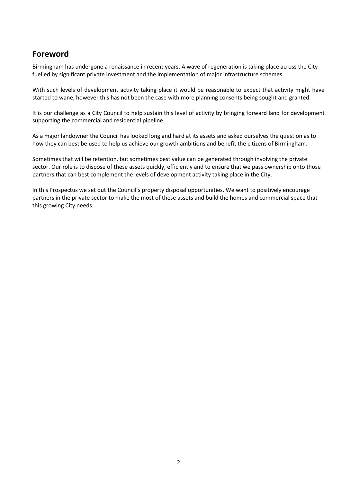## **Foreword**

Birmingham has undergone a renaissance in recent years. A wave of regeneration is taking place across the City fuelled by significant private investment and the implementation of major infrastructure schemes.

With such levels of development activity taking place it would be reasonable to expect that activity might have started to wane, however this has not been the case with more planning consents being sought and granted.

It is our challenge as a City Council to help sustain this level of activity by bringing forward land for development supporting the commercial and residential pipeline.

As a major landowner the Council has looked long and hard at its assets and asked ourselves the question as to how they can best be used to help us achieve our growth ambitions and benefit the citizens of Birmingham.

Sometimes that will be retention, but sometimes best value can be generated through involving the private sector. Our role is to dispose of these assets quickly, efficiently and to ensure that we pass ownership onto those partners that can best complement the levels of development activity taking place in the City.

In this Prospectus we set out the Council's property disposal opportunities. We want to positively encourage partners in the private sector to make the most of these assets and build the homes and commercial space that this growing City needs.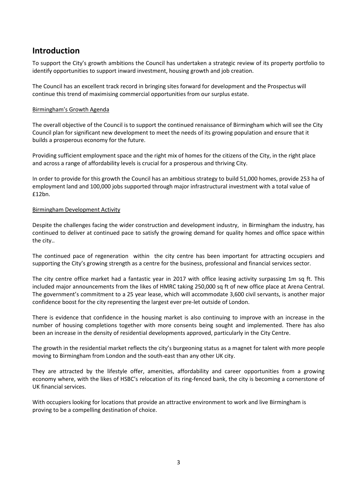# **Introduction**

To support the City's growth ambitions the Council has undertaken a strategic review of its property portfolio to identify opportunities to support inward investment, housing growth and job creation.

The Council has an excellent track record in bringing sites forward for development and the Prospectus will continue this trend of maximising commercial opportunities from our surplus estate.

## Birmingham's Growth Agenda

The overall objective of the Council is to support the continued renaissance of Birmingham which will see the City Council plan for significant new development to meet the needs of its growing population and ensure that it builds a prosperous economy for the future.

Providing sufficient employment space and the right mix of homes for the citizens of the City, in the right place and across a range of affordability levels is crucial for a prosperous and thriving City.

In order to provide for this growth the Council has an ambitious strategy to build 51,000 homes, provide 253 ha of employment land and 100,000 jobs supported through major infrastructural investment with a total value of £12bn.

## Birmingham Development Activity

Despite the challenges facing the wider construction and development industry, in Birmingham the industry, has continued to deliver at continued pace to satisfy the growing demand for quality homes and office space within the city..

The continued pace of regeneration within the city centre has been important for attracting occupiers and supporting the City's growing strength as a centre for the business, professional and financial services sector.

The city centre office market had a fantastic year in 2017 with office leasing activity surpassing 1m sq ft. This included major announcements from the likes of HMRC taking 250,000 sq ft of new office place at Arena Central. The government's commitment to a 25 year lease, which will accommodate 3,600 civil servants, is another major confidence boost for the city representing the largest ever pre-let outside of London.

There is evidence that confidence in the housing market is also continuing to improve with an increase in the number of housing completions together with more consents being sought and implemented. There has also been an increase in the density of residential developments approved, particularly in the City Centre.

The growth in the residential market reflects the city's burgeoning status as a magnet for talent with more people moving to Birmingham from London and the south-east than any other UK city.

They are attracted by the lifestyle offer, amenities, affordability and career opportunities from a growing economy where, with the likes of HSBC's relocation of its ring-fenced bank, the city is becoming a cornerstone of UK financial services.

With occupiers looking for locations that provide an attractive environment to work and live Birmingham is proving to be a compelling destination of choice.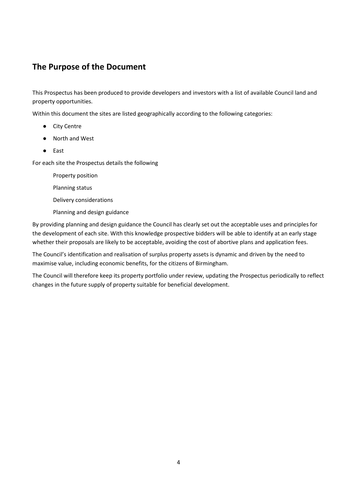# **The Purpose of the Document**

This Prospectus has been produced to provide developers and investors with a list of available Council land and property opportunities.

Within this document the sites are listed geographically according to the following categories:

- City Centre
- North and West
- East

For each site the Prospectus details the following

Property position

Planning status

Delivery considerations

Planning and design guidance

By providing planning and design guidance the Council has clearly set out the acceptable uses and principles for the development of each site. With this knowledge prospective bidders will be able to identify at an early stage whether their proposals are likely to be acceptable, avoiding the cost of abortive plans and application fees.

The Council's identification and realisation of surplus property assets is dynamic and driven by the need to maximise value, including economic benefits, for the citizens of Birmingham.

The Council will therefore keep its property portfolio under review, updating the Prospectus periodically to reflect changes in the future supply of property suitable for beneficial development.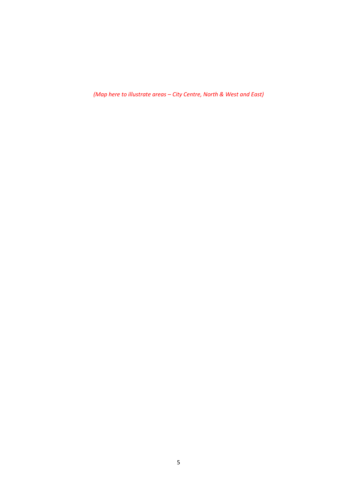<span id="page-5-0"></span>*(Map here to illustrate areas – City Centre, North & West and East)*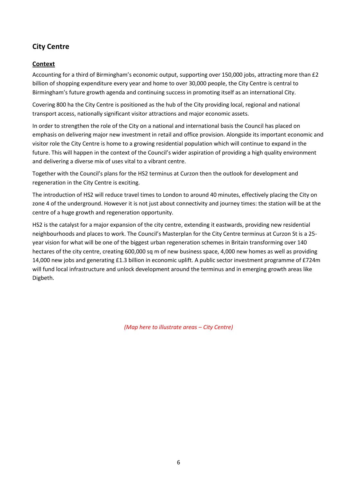## **City Centre**

## <span id="page-6-0"></span>**Context**

Accounting for a third of Birmingham's economic output, supporting over 150,000 jobs, attracting more than £2 billion of shopping expenditure every year and home to over 30,000 people, the City Centre is central to Birmingham's future growth agenda and continuing success in promoting itself as an international City.

Covering 800 ha the City Centre is positioned as the hub of the City providing local, regional and national transport access, nationally significant visitor attractions and major economic assets.

In order to strengthen the role of the City on a national and international basis the Council has placed on emphasis on delivering major new investment in retail and office provision. Alongside its important economic and visitor role the City Centre is home to a growing residential population which will continue to expand in the future. This will happen in the context of the Council's wider aspiration of providing a high quality environment and delivering a diverse mix of uses vital to a vibrant centre.

Together with the Council's plans for the HS2 terminus at Curzon then the outlook for development and regeneration in the City Centre is exciting.

The introduction of HS2 will reduce travel times to London to around 40 minutes, effectively placing the City on zone 4 of the underground. However it is not just about connectivity and journey times: the station will be at the centre of a huge growth and regeneration opportunity.

HS2 is the catalyst for a major expansion of the city centre, extending it eastwards, providing new residential neighbourhoods and places to work. The Council's Masterplan for the City Centre terminus at Curzon St is a 25year vision for what will be one of the biggest urban regeneration schemes in Britain transforming over 140 hectares of the city centre, creating 600,000 sq m of new business space, 4,000 new homes as well as providing 14,000 new jobs and generating £1.3 billion in economic uplift. A public sector investment programme of £724m will fund local infrastructure and unlock development around the terminus and in emerging growth areas like Digbeth.

*(Map here to illustrate areas – City Centre)*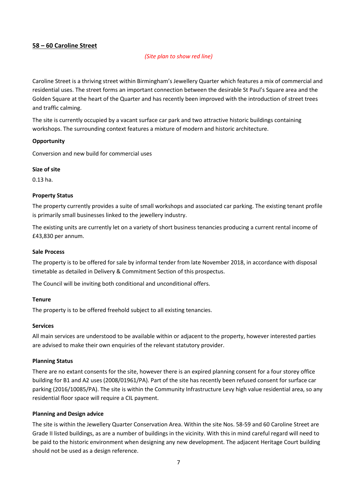## <span id="page-7-0"></span>**58 – 60 Caroline Street**

## *(Site plan to show red line)*

Caroline Street is a thriving street within Birmingham's Jewellery Quarter which features a mix of commercial and residential uses. The street forms an important connection between the desirable St Paul's Square area and the Golden Square at the heart of the Quarter and has recently been improved with the introduction of street trees and traffic calming.

The site is currently occupied by a vacant surface car park and two attractive historic buildings containing workshops. The surrounding context features a mixture of modern and historic architecture.

## **Opportunity**

Conversion and new build for commercial uses

#### **Size of site**

0.13 ha.

## **Property Status**

The property currently provides a suite of small workshops and associated car parking. The existing tenant profile is primarily small businesses linked to the jewellery industry.

The existing units are currently let on a variety of short business tenancies producing a current rental income of £43,830 per annum.

#### **Sale Process**

The property is to be offered for sale by informal tender from late November 2018, in accordance with disposal timetable as detailed in Delivery & Commitment Section of this prospectus.

The Council will be inviting both conditional and unconditional offers.

## **Tenure**

The property is to be offered freehold subject to all existing tenancies.

## **Services**

All main services are understood to be available within or adjacent to the property, however interested parties are advised to make their own enquiries of the relevant statutory provider.

## **Planning Status**

There are no extant consents for the site, however there is an expired planning consent for a four storey office building for B1 and A2 uses (2008/01961/PA). Part of the site has recently been refused consent for surface car parking (2016/10085/PA). The site is within the Community Infrastructure Levy high value residential area, so any residential floor space will require a CIL payment.

## **Planning and Design advice**

The site is within the Jewellery Quarter Conservation Area. Within the site Nos. 58-59 and 60 Caroline Street are Grade II listed buildings, as are a number of buildings in the vicinity. With this in mind careful regard will need to be paid to the historic environment when designing any new development. The adjacent Heritage Court building should not be used as a design reference.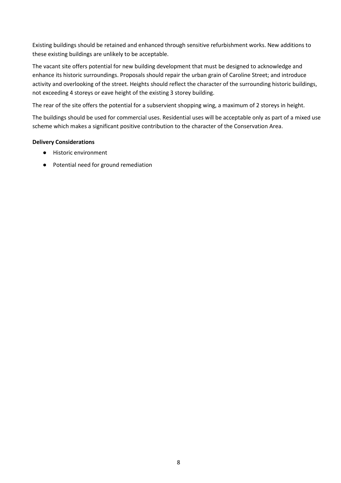Existing buildings should be retained and enhanced through sensitive refurbishment works. New additions to these existing buildings are unlikely to be acceptable.

The vacant site offers potential for new building development that must be designed to acknowledge and enhance its historic surroundings. Proposals should repair the urban grain of Caroline Street; and introduce activity and overlooking of the street. Heights should reflect the character of the surrounding historic buildings, not exceeding 4 storeys or eave height of the existing 3 storey building.

The rear of the site offers the potential for a subservient shopping wing, a maximum of 2 storeys in height.

The buildings should be used for commercial uses. Residential uses will be acceptable only as part of a mixed use scheme which makes a significant positive contribution to the character of the Conservation Area.

## **Delivery Considerations**

- Historic environment
- Potential need for ground remediation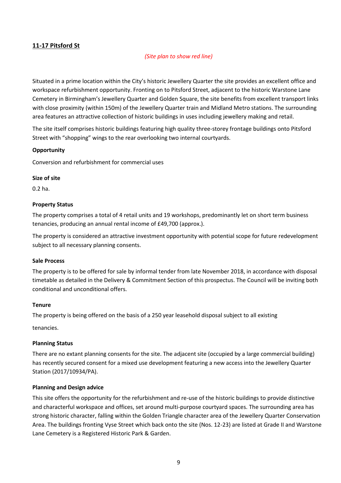## <span id="page-9-0"></span>**11-17 Pitsford St**

## *(Site plan to show red line)*

Situated in a prime location within the City's historic Jewellery Quarter the site provides an excellent office and workspace refurbishment opportunity. Fronting on to Pitsford Street, adjacent to the historic Warstone Lane Cemetery in Birmingham's Jewellery Quarter and Golden Square, the site benefits from excellent transport links with close proximity (within 150m) of the Jewellery Quarter train and Midland Metro stations. The surrounding area features an attractive collection of historic buildings in uses including jewellery making and retail.

The site itself comprises historic buildings featuring high quality three-storey frontage buildings onto Pitsford Street with "shopping" wings to the rear overlooking two internal courtyards.

## **Opportunity**

Conversion and refurbishment for commercial uses

## **Size of site**

0.2 ha.

## **Property Status**

The property comprises a total of 4 retail units and 19 workshops, predominantly let on short term business tenancies, producing an annual rental income of £49,700 (approx.).

The property is considered an attractive investment opportunity with potential scope for future redevelopment subject to all necessary planning consents.

## **Sale Process**

The property is to be offered for sale by informal tender from late November 2018, in accordance with disposal timetable as detailed in the Delivery & Commitment Section of this prospectus. The Council will be inviting both conditional and unconditional offers.

## **Tenure**

The property is being offered on the basis of a 250 year leasehold disposal subject to all existing

tenancies.

## **Planning Status**

There are no extant planning consents for the site. The adjacent site (occupied by a large commercial building) has recently secured consent for a mixed use development featuring a new access into the Jewellery Quarter Station (2017/10934/PA).

## **Planning and Design advice**

This site offers the opportunity for the refurbishment and re-use of the historic buildings to provide distinctive and characterful workspace and offices, set around multi-purpose courtyard spaces. The surrounding area has strong historic character, falling within the Golden Triangle character area of the Jewellery Quarter Conservation Area. The buildings fronting Vyse Street which back onto the site (Nos. 12-23) are listed at Grade II and Warstone Lane Cemetery is a Registered Historic Park & Garden.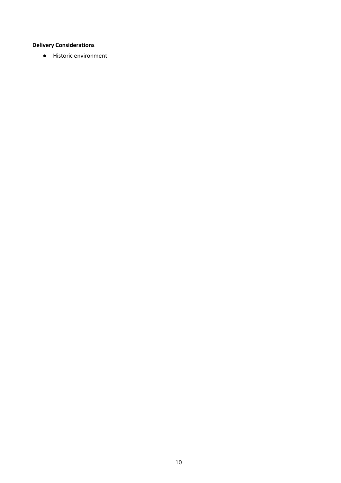## **Delivery Considerations**

● Historic environment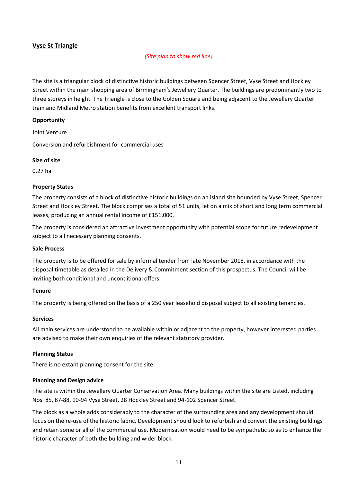## **Vyse St Triangle**

## *(Site plan to show red line)*

The site is a triangular block of distinctive historic buildings between Spencer Street, Vyse Street and Hockley Street within the main shopping area of Birmingham's Jewellery Quarter. The buildings are predominantly two to three storeys in height. The Triangle is close to the Golden Square and being adjacent to the Jewellery Quarter train and Midland Metro station benefits from excellent transport links.

## **Opportunity**

Joint Venture

Conversion and refurbishment for commercial uses

#### **Size of site**

0.27 ha

#### **Property Status**

The property consists of a block of distinctive historic buildings on an island site bounded by Vyse Street, Spencer Street and Hockley Street. The block comprises a total of 51 units, let on a mix of short and long term commercial leases, producing an annual rental income of £151,000.

The property is considered an attractive investment opportunity with potential scope for future redevelopment subject to all necessary planning consents.

#### **Sale Process**

The property is to be offered for sale by informal tender from late November 2018, in accordance with the disposal timetable as detailed in the Delivery & Commitment section of this prospectus. The Council will be inviting both conditional and unconditional offers.

## **Tenure**

The property is being offered on the basis of a 250 year leasehold disposal subject to all existing tenancies.

#### **Services**

All main services are understood to be available within or adjacent to the property, however interested parties are advised to make their own enquiries of the relevant statutory provider.

## **Planning Status**

There is no extant planning consent for the site.

#### **Planning and Design advice**

The site is within the Jewellery Quarter Conservation Area. Many buildings within the site are Listed, including Nos. 85, 87-88, 90-94 Vyse Street, 28 Hockley Street and 94-102 Spencer Street.

The block as a whole adds considerably to the character of the surrounding area and any development should focus on the re-use of the historic fabric. Development should look to refurbish and convert the existing buildings and retain some or all of the commercial use. Modernisation would need to be sympathetic so as to enhance the historic character of both the building and wider block.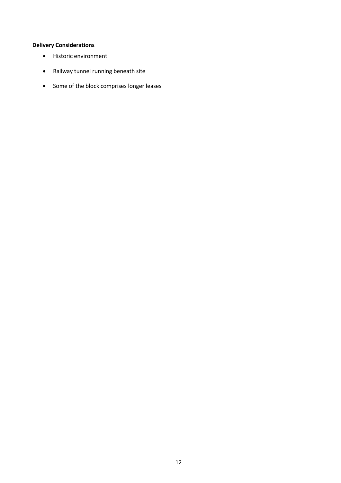## **Delivery Considerations**

- Historic environment
- Railway tunnel running beneath site
- <span id="page-12-0"></span>Some of the block comprises longer leases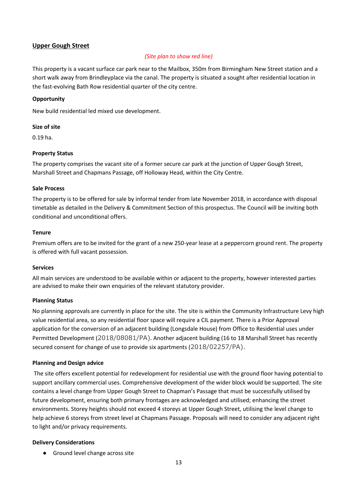## **Upper Gough Street**

## *(Site plan to show red line)*

This property is a vacant surface car park near to the Mailbox, 350m from Birmingham New Street station and a short walk away from Brindleyplace via the canal. The property is situated a sought after residential location in the fast-evolving Bath Row residential quarter of the city centre.

## **Opportunity**

New build residential led mixed use development.

## **Size of site**

0.19 ha.

## **Property Status**

The property comprises the vacant site of a former secure car park at the junction of Upper Gough Street, Marshall Street and Chapmans Passage, off Holloway Head, within the City Centre.

## **Sale Process**

The property is to be offered for sale by informal tender from late November 2018, in accordance with disposal timetable as detailed in the Delivery & Commitment Section of this prospectus. The Council will be inviting both conditional and unconditional offers.

## **Tenure**

Premium offers are to be invited for the grant of a new 250-year lease at a peppercorn ground rent. The property is offered with full vacant possession.

## **Services**

All main services are understood to be available within or adjacent to the property, however interested parties are advised to make their own enquiries of the relevant statutory provider.

## **Planning Status**

No planning approvals are currently in place for the site. The site is within the Community Infrastructure Levy high value residential area, so any residential floor space will require a CIL payment. There is a Prior Approval application for the conversion of an adjacent building (Longsdale House) from Office to Residential uses under Permitted Development (2018/08081/PA). Another adjacent building (16 to 18 Marshall Street has recently secured consent for change of use to provide six apartments (2018/02257/PA).

## **Planning and Design advice**

 The site offers excellent potential for redevelopment for residential use with the ground floor having potential to support ancillary commercial uses. Comprehensive development of the wider block would be supported. The site contains a level change from Upper Gough Street to Chapman's Passage that must be successfully utilised by future development, ensuring both primary frontages are acknowledged and utilised; enhancing the street environments. Storey heights should not exceed 4 storeys at Upper Gough Street, utilising the level change to help achieve 6 storeys from street level at Chapmans Passage. Proposals will need to consider any adjacent right to light and/or privacy requirements.

## **Delivery Considerations**

<span id="page-13-0"></span>● Ground level change across site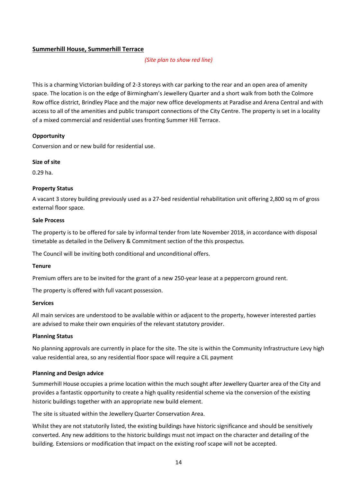## **Summerhill House, Summerhill Terrace**

## *(Site plan to show red line)*

This is a charming Victorian building of 2-3 storeys with car parking to the rear and an open area of amenity space. The location is on the edge of Birmingham's Jewellery Quarter and a short walk from both the Colmore Row office district, Brindley Place and the major new office developments at Paradise and Arena Central and with access to all of the amenities and public transport connections of the City Centre. The property is set in a locality of a mixed commercial and residential uses fronting Summer Hill Terrace.

## **Opportunity**

Conversion and or new build for residential use.

## **Size of site**

0.29 ha.

## **Property Status**

A vacant 3 storey building previously used as a 27-bed residential rehabilitation unit offering 2,800 sq m of gross external floor space.

## **Sale Process**

The property is to be offered for sale by informal tender from late November 2018, in accordance with disposal timetable as detailed in the Delivery & Commitment section of the this prospectus.

The Council will be inviting both conditional and unconditional offers.

## **Tenure**

Premium offers are to be invited for the grant of a new 250-year lease at a peppercorn ground rent.

The property is offered with full vacant possession.

## **Services**

All main services are understood to be available within or adjacent to the property, however interested parties are advised to make their own enquiries of the relevant statutory provider.

## **Planning Status**

No planning approvals are currently in place for the site. The site is within the Community Infrastructure Levy high value residential area, so any residential floor space will require a CIL payment

## **Planning and Design advice**

Summerhill House occupies a prime location within the much sought after Jewellery Quarter area of the City and provides a fantastic opportunity to create a high quality residential scheme via the conversion of the existing historic buildings together with an appropriate new build element.

The site is situated within the Jewellery Quarter Conservation Area.

Whilst they are not statutorily listed, the existing buildings have historic significance and should be sensitively converted. Any new additions to the historic buildings must not impact on the character and detailing of the building. Extensions or modification that impact on the existing roof scape will not be accepted.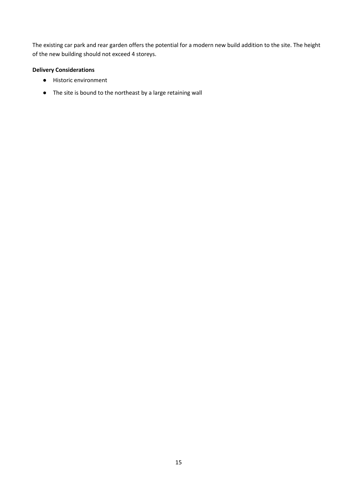The existing car park and rear garden offers the potential for a modern new build addition to the site. The height of the new building should not exceed 4 storeys.

## **Delivery Considerations**

- Historic environment
- The site is bound to the northeast by a large retaining wall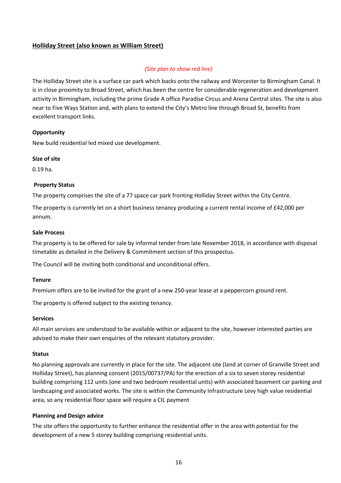## <span id="page-16-0"></span>**Holliday Street (also known as William Street)**

## *(Site plan to show red line)*

The Holliday Street site is a surface car park which backs onto the railway and Worcester to Birmingham Canal. It is in close proximity to Broad Street, which has been the centre for considerable regeneration and development activity in Birmingham, including the prime Grade A office Paradise Circus and Arena Central sites. The site is also near to Five Ways Station and, with plans to extend the City's Metro line through Broad St, benefits from excellent transport links.

## **Opportunity**

New build residential led mixed use development.

## **Size of site**

0.19 ha.

## **Property Status**

The property comprises the site of a 77 space car park fronting Holliday Street within the City Centre.

The property is currently let on a short business tenancy producing a current rental income of £42,000 per annum.

## **Sale Process**

The property is to be offered for sale by informal tender from late November 2018, in accordance with disposal timetable as detailed in the Delivery & Commitment section of this prospectus.

The Council will be inviting both conditional and unconditional offers.

## **Tenure**

Premium offers are to be invited for the grant of a new 250-year lease at a peppercorn ground rent.

The property is offered subject to the existing tenancy.

## **Services**

All main services are understood to be available within or adjacent to the site, however interested parties are advised to make their own enquiries of the relevant statutory provider.

## **Status**

No planning approvals are currently in place for the site. The adjacent site (land at corner of Granville Street and Holliday Street), has planning consent (2015/00737/PA) for the erection of a six to seven storey residential building comprising 112 units (one and two bedroom residential units) with associated basement car parking and landscaping and associated works. The site is within the Community Infrastructure Levy high value residential area, so any residential floor space will require a CIL payment

## **Planning and Design advice**

The site offers the opportunity to further enhance the residential offer in the area with potential for the development of a new 5 storey building comprising residential units.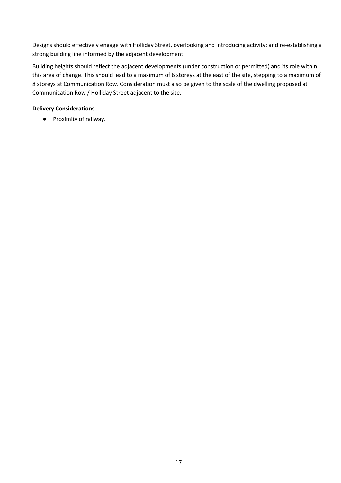Designs should effectively engage with Holliday Street, overlooking and introducing activity; and re-establishing a strong building line informed by the adjacent development.

Building heights should reflect the adjacent developments (under construction or permitted) and its role within this area of change. This should lead to a maximum of 6 storeys at the east of the site, stepping to a maximum of 8 storeys at Communication Row. Consideration must also be given to the scale of the dwelling proposed at Communication Row / Holliday Street adjacent to the site.

## **Delivery Considerations**

<span id="page-17-0"></span>● Proximity of railway.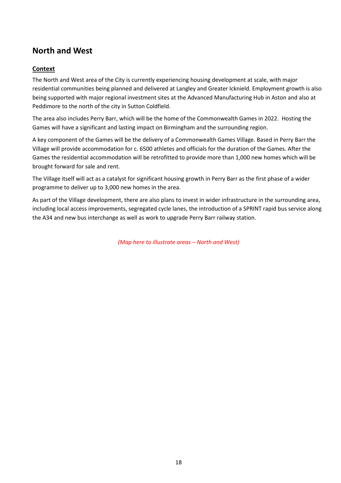# **North and West**

## <span id="page-18-0"></span>**Context**

The North and West area of the City is currently experiencing housing development at scale, with major residential communities being planned and delivered at Langley and Greater Icknield. Employment growth is also being supported with major regional investment sites at the Advanced Manufacturing Hub in Aston and also at Peddimore to the north of the city in Sutton Coldfield.

The area also includes Perry Barr, which will be the home of the Commonwealth Games in 2022. Hosting the Games will have a significant and lasting impact on Birmingham and the surrounding region.

A key component of the Games will be the delivery of a Commonwealth Games Village. Based in Perry Barr the Village will provide accommodation for c. 6500 athletes and officials for the duration of the Games. After the Games the residential accommodation will be retrofitted to provide more than 1,000 new homes which will be brought forward for sale and rent.

The Village itself will act as a catalyst for significant housing growth in Perry Barr as the first phase of a wider programme to deliver up to 3,000 new homes in the area.

As part of the Village development, there are also plans to invest in wider infrastructure in the surrounding area, including local access improvements, segregated cycle lanes, the introduction of a SPRINT rapid bus service along the A34 and new bus interchange as well as work to upgrade Perry Barr railway station.

*(Map here to illustrate areas – North and West)*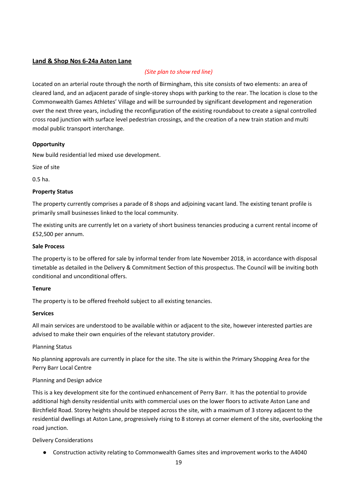## <span id="page-19-0"></span>**Land & Shop Nos 6-24a Aston Lane**

## *(Site plan to show red line)*

Located on an arterial route through the north of Birmingham, this site consists of two elements: an area of cleared land, and an adjacent parade of single-storey shops with parking to the rear. The location is close to the Commonwealth Games Athletes' Village and will be surrounded by significant development and regeneration over the next three years, including the reconfiguration of the existing roundabout to create a signal controlled cross road junction with surface level pedestrian crossings, and the creation of a new train station and multi modal public transport interchange.

## **Opportunity**

New build residential led mixed use development.

Size of site

0.5 ha.

## **Property Status**

The property currently comprises a parade of 8 shops and adjoining vacant land. The existing tenant profile is primarily small businesses linked to the local community.

The existing units are currently let on a variety of short business tenancies producing a current rental income of £52,500 per annum.

## **Sale Process**

The property is to be offered for sale by informal tender from late November 2018, in accordance with disposal timetable as detailed in the Delivery & Commitment Section of this prospectus. The Council will be inviting both conditional and unconditional offers.

## **Tenure**

The property is to be offered freehold subject to all existing tenancies.

## **Services**

All main services are understood to be available within or adjacent to the site, however interested parties are advised to make their own enquiries of the relevant statutory provider.

Planning Status

No planning approvals are currently in place for the site. The site is within the Primary Shopping Area for the Perry Barr Local Centre

## Planning and Design advice

This is a key development site for the continued enhancement of Perry Barr. It has the potential to provide additional high density residential units with commercial uses on the lower floors to activate Aston Lane and Birchfield Road. Storey heights should be stepped across the site, with a maximum of 3 storey adjacent to the residential dwellings at Aston Lane, progressively rising to 8 storeys at corner element of the site, overlooking the road junction.

Delivery Considerations

● Construction activity relating to Commonwealth Games sites and improvement works to the A4040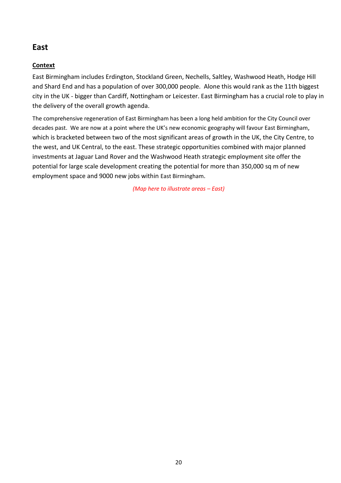# <span id="page-20-0"></span>**East**

## <span id="page-20-1"></span>**Context**

East Birmingham includes Erdington, Stockland Green, Nechells, Saltley, Washwood Heath, Hodge Hill and Shard End and has a population of over 300,000 people. Alone this would rank as the 11th biggest city in the UK - bigger than Cardiff, Nottingham or Leicester. East Birmingham has a crucial role to play in the delivery of the overall growth agenda.

The comprehensive regeneration of East Birmingham has been a long held ambition for the City Council over decades past. We are now at a point where the UK's new economic geography will favour East Birmingham, which is bracketed between two of the most significant areas of growth in the UK, the City Centre, to the west, and UK Central, to the east. These strategic opportunities combined with major planned investments at Jaguar Land Rover and the Washwood Heath strategic employment site offer the potential for large scale development creating the potential for more than 350,000 sq m of new employment space and 9000 new jobs within East Birmingham.

*(Map here to illustrate areas – East)*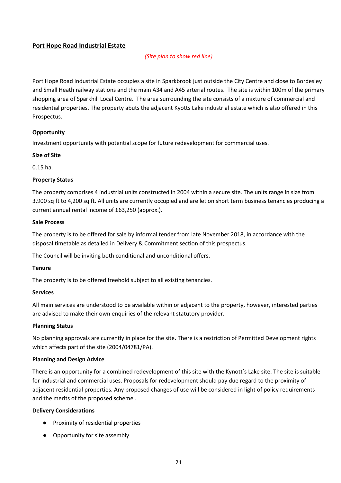## <span id="page-21-0"></span>**Port Hope Road Industrial Estate**

## *(Site plan to show red line)*

Port Hope Road Industrial Estate occupies a site in Sparkbrook just outside the City Centre and close to Bordesley and Small Heath railway stations and the main A34 and A45 arterial routes. The site is within 100m of the primary shopping area of Sparkhill Local Centre. The area surrounding the site consists of a mixture of commercial and residential properties. The property abuts the adjacent Kyotts Lake industrial estate which is also offered in this Prospectus.

## **Opportunity**

Investment opportunity with potential scope for future redevelopment for commercial uses.

## **Size of Site**

0.15 ha.

## **Property Status**

The property comprises 4 industrial units constructed in 2004 within a secure site. The units range in size from 3,900 sq ft to 4,200 sq ft. All units are currently occupied and are let on short term business tenancies producing a current annual rental income of £63,250 (approx.).

## **Sale Process**

The property is to be offered for sale by informal tender from late November 2018, in accordance with the disposal timetable as detailed in Delivery & Commitment section of this prospectus.

The Council will be inviting both conditional and unconditional offers.

## **Tenure**

The property is to be offered freehold subject to all existing tenancies.

## **Services**

All main services are understood to be available within or adjacent to the property, however, interested parties are advised to make their own enquiries of the relevant statutory provider.

## **Planning Status**

No planning approvals are currently in place for the site. There is a restriction of Permitted Development rights which affects part of the site (2004/04781/PA).

## **Planning and Design Advice**

There is an opportunity for a combined redevelopment of this site with the Kynott's Lake site. The site is suitable for industrial and commercial uses. Proposals for redevelopment should pay due regard to the proximity of adjacent residential properties. Any proposed changes of use will be considered in light of policy requirements and the merits of the proposed scheme .

## **Delivery Considerations**

- Proximity of residential properties
- Opportunity for site assembly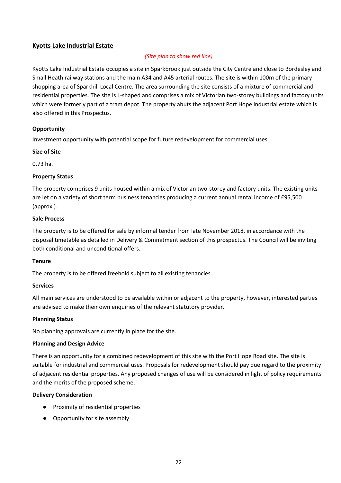## **Kyotts Lake Industrial Estate**

## *(Site plan to show red line)*

Kyotts Lake Industrial Estate occupies a site in Sparkbrook just outside the City Centre and close to Bordesley and Small Heath railway stations and the main A34 and A45 arterial routes. The site is within 100m of the primary shopping area of Sparkhill Local Centre. The area surrounding the site consists of a mixture of commercial and residential properties. The site is L-shaped and comprises a mix of Victorian two-storey buildings and factory units which were formerly part of a tram depot. The property abuts the adjacent Port Hope industrial estate which is also offered in this Prospectus.

## **Opportunity**

Investment opportunity with potential scope for future redevelopment for commercial uses.

## **Size of Site**

0.73 ha.

## **Property Status**

The property comprises 9 units housed within a mix of Victorian two-storey and factory units. The existing units are let on a variety of short term business tenancies producing a current annual rental income of £95,500 (approx.).

## **Sale Process**

The property is to be offered for sale by informal tender from late November 2018, in accordance with the disposal timetable as detailed in Delivery & Commitment section of this prospectus. The Council will be inviting both conditional and unconditional offers.

## **Tenure**

The property is to be offered freehold subject to all existing tenancies.

## **Services**

All main services are understood to be available within or adjacent to the property, however, interested parties are advised to make their own enquiries of the relevant statutory provider.

## **Planning Status**

No planning approvals are currently in place for the site.

## **Planning and Design Advice**

There is an opportunity for a combined redevelopment of this site with the Port Hope Road site. The site is suitable for industrial and commercial uses. Proposals for redevelopment should pay due regard to the proximity of adjacent residential properties. Any proposed changes of use will be considered in light of policy requirements and the merits of the proposed scheme.

## **Delivery Consideration**

- Proximity of residential properties
- <span id="page-22-0"></span>● Opportunity for site assembly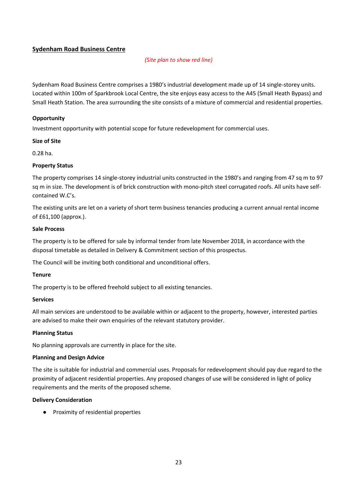## **Sydenham Road Business Centre**

## *(Site plan to show red line)*

Sydenham Road Business Centre comprises a 1980's industrial development made up of 14 single-storey units. Located within 100m of Sparkbrook Local Centre, the site enjoys easy access to the A45 (Small Heath Bypass) and Small Heath Station. The area surrounding the site consists of a mixture of commercial and residential properties.

## **Opportunity**

Investment opportunity with potential scope for future redevelopment for commercial uses.

## **Size of Site**

0.28 ha.

## **Property Status**

The property comprises 14 single-storey industrial units constructed in the 1980's and ranging from 47 sq m to 97 sq m in size. The development is of brick construction with mono-pitch steel corrugated roofs. All units have selfcontained W.C's.

The existing units are let on a variety of short term business tenancies producing a current annual rental income of £61,100 (approx.).

## **Sale Process**

The property is to be offered for sale by informal tender from late November 2018, in accordance with the disposal timetable as detailed in Delivery & Commitment section of this prospectus.

The Council will be inviting both conditional and unconditional offers.

## **Tenure**

The property is to be offered freehold subject to all existing tenancies.

## **Services**

All main services are understood to be available within or adjacent to the property, however, interested parties are advised to make their own enquiries of the relevant statutory provider.

## **Planning Status**

No planning approvals are currently in place for the site.

## **Planning and Design Advice**

The site is suitable for industrial and commercial uses. Proposals for redevelopment should pay due regard to the proximity of adjacent residential properties. Any proposed changes of use will be considered in light of policy requirements and the merits of the proposed scheme.

## **Delivery Consideration**

<span id="page-23-0"></span>● Proximity of residential properties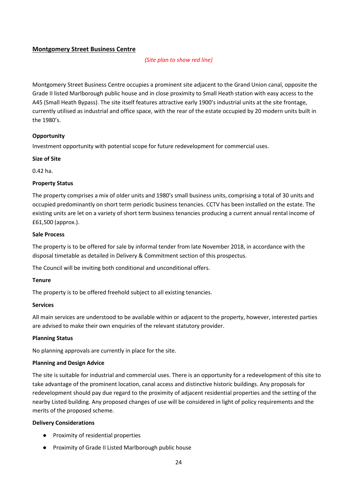## **Montgomery Street Business Centre**

## *(Site plan to show red line)*

Montgomery Street Business Centre occupies a prominent site adjacent to the Grand Union canal, opposite the Grade II listed Marlborough public house and in close proximity to Small Heath station with easy access to the A45 (Small Heath Bypass). The site itself features attractive early 1900's industrial units at the site frontage, currently utilised as industrial and office space, with the rear of the estate occupied by 20 modern units built in the 1980's.

## **Opportunity**

Investment opportunity with potential scope for future redevelopment for commercial uses.

## **Size of Site**

0.42 ha.

## **Property Status**

The property comprises a mix of older units and 1980's small business units, comprising a total of 30 units and occupied predominantly on short term periodic business tenancies. CCTV has been installed on the estate. The existing units are let on a variety of short term business tenancies producing a current annual rental income of £61,500 (approx.).

## **Sale Process**

The property is to be offered for sale by informal tender from late November 2018, in accordance with the disposal timetable as detailed in Delivery & Commitment section of this prospectus.

The Council will be inviting both conditional and unconditional offers.

## **Tenure**

The property is to be offered freehold subject to all existing tenancies.

## **Services**

All main services are understood to be available within or adjacent to the property, however, interested parties are advised to make their own enquiries of the relevant statutory provider.

## **Planning Status**

No planning approvals are currently in place for the site.

## **Planning and Design Advice**

The site is suitable for industrial and commercial uses. There is an opportunity for a redevelopment of this site to take advantage of the prominent location, canal access and distinctive historic buildings. Any proposals for redevelopment should pay due regard to the proximity of adjacent residential properties and the setting of the nearby Listed building. Any proposed changes of use will be considered in light of policy requirements and the merits of the proposed scheme.

## **Delivery Considerations**

- Proximity of residential properties
- <span id="page-24-0"></span>● Proximity of Grade II Listed Marlborough public house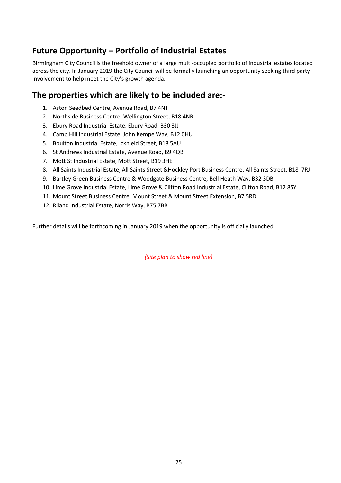# **Future Opportunity – Portfolio of Industrial Estates**

Birmingham City Council is the freehold owner of a large multi-occupied portfolio of industrial estates located across the city. In January 2019 the City Council will be formally launching an opportunity seeking third party involvement to help meet the City's growth agenda.

# **The properties which are likely to be included are:-**

- 1. Aston Seedbed Centre, Avenue Road, B7 4NT
- 2. Northside Business Centre, Wellington Street, B18 4NR
- 3. Ebury Road Industrial Estate, Ebury Road, B30 3JJ
- 4. Camp Hill Industrial Estate, John Kempe Way, B12 0HU
- 5. Boulton Industrial Estate, Icknield Street, B18 5AU
- 6. St Andrews Industrial Estate, Avenue Road, B9 4QB
- 7. Mott St Industrial Estate, Mott Street, B19 3HE
- 8. All Saints Industrial Estate, All Saints Street &Hockley Port Business Centre, All Saints Street, B18 7RJ
- 9. Bartley Green Business Centre & Woodgate Business Centre, Bell Heath Way, B32 3DB
- 10. Lime Grove Industrial Estate, Lime Grove & Clifton Road Industrial Estate, Clifton Road, B12 8SY
- 11. Mount Street Business Centre, Mount Street & Mount Street Extension, B7 5RD
- 12. Riland Industrial Estate, Norris Way, B75 7BB

Further details will be forthcoming in January 2019 when the opportunity is officially launched.

*(Site plan to show red line)*